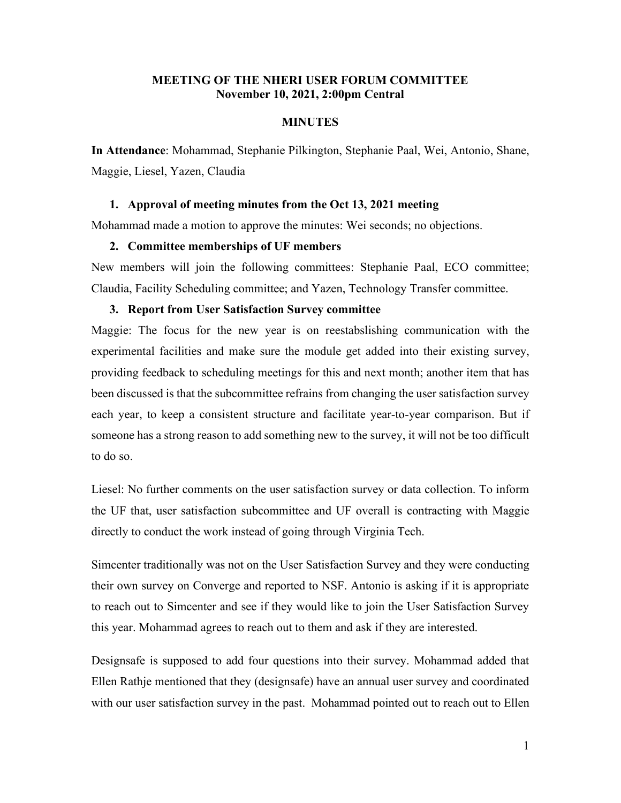# **MEETING OF THE NHERI USER FORUM COMMITTEE November 10, 2021, 2:00pm Central**

# **MINUTES**

**In Attendance**: Mohammad, Stephanie Pilkington, Stephanie Paal, Wei, Antonio, Shane, Maggie, Liesel, Yazen, Claudia

#### **1. Approval of meeting minutes from the Oct 13, 2021 meeting**

Mohammad made a motion to approve the minutes: Wei seconds; no objections.

## **2. Committee memberships of UF members**

New members will join the following committees: Stephanie Paal, ECO committee; Claudia, Facility Scheduling committee; and Yazen, Technology Transfer committee.

## **3. Report from User Satisfaction Survey committee**

Maggie: The focus for the new year is on reestabslishing communication with the experimental facilities and make sure the module get added into their existing survey, providing feedback to scheduling meetings for this and next month; another item that has been discussed is that the subcommittee refrains from changing the user satisfaction survey each year, to keep a consistent structure and facilitate year-to-year comparison. But if someone has a strong reason to add something new to the survey, it will not be too difficult to do so.

Liesel: No further comments on the user satisfaction survey or data collection. To inform the UF that, user satisfaction subcommittee and UF overall is contracting with Maggie directly to conduct the work instead of going through Virginia Tech.

Simcenter traditionally was not on the User Satisfaction Survey and they were conducting their own survey on Converge and reported to NSF. Antonio is asking if it is appropriate to reach out to Simcenter and see if they would like to join the User Satisfaction Survey this year. Mohammad agrees to reach out to them and ask if they are interested.

Designsafe is supposed to add four questions into their survey. Mohammad added that Ellen Rathje mentioned that they (designsafe) have an annual user survey and coordinated with our user satisfaction survey in the past. Mohammad pointed out to reach out to Ellen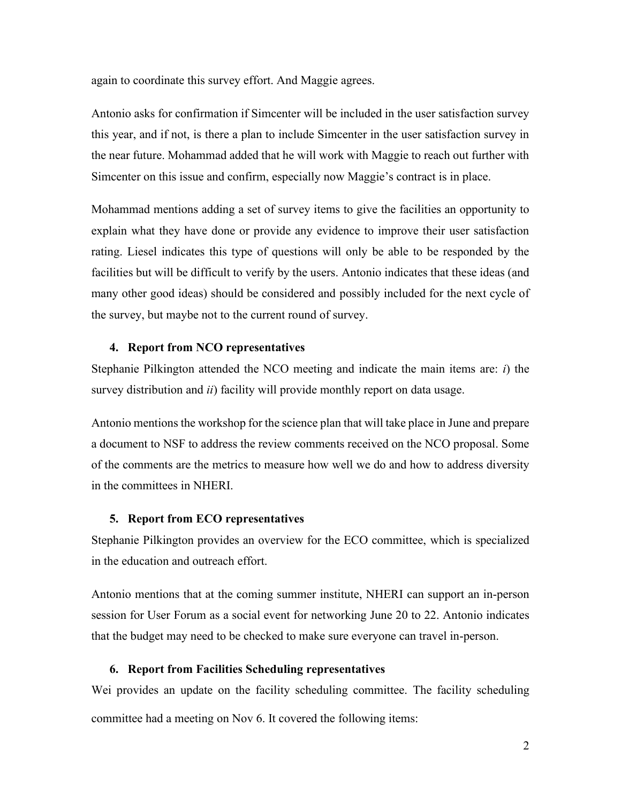again to coordinate this survey effort. And Maggie agrees.

Antonio asks for confirmation if Simcenter will be included in the user satisfaction survey this year, and if not, is there a plan to include Simcenter in the user satisfaction survey in the near future. Mohammad added that he will work with Maggie to reach out further with Simcenter on this issue and confirm, especially now Maggie's contract is in place.

Mohammad mentions adding a set of survey items to give the facilities an opportunity to explain what they have done or provide any evidence to improve their user satisfaction rating. Liesel indicates this type of questions will only be able to be responded by the facilities but will be difficult to verify by the users. Antonio indicates that these ideas (and many other good ideas) should be considered and possibly included for the next cycle of the survey, but maybe not to the current round of survey.

#### **4. Report from NCO representatives**

Stephanie Pilkington attended the NCO meeting and indicate the main items are: *i*) the survey distribution and *ii*) facility will provide monthly report on data usage.

Antonio mentions the workshop for the science plan that will take place in June and prepare a document to NSF to address the review comments received on the NCO proposal. Some of the comments are the metrics to measure how well we do and how to address diversity in the committees in NHERI.

### **5. Report from ECO representatives**

Stephanie Pilkington provides an overview for the ECO committee, which is specialized in the education and outreach effort.

Antonio mentions that at the coming summer institute, NHERI can support an in-person session for User Forum as a social event for networking June 20 to 22. Antonio indicates that the budget may need to be checked to make sure everyone can travel in-person.

## **6. Report from Facilities Scheduling representatives**

Wei provides an update on the facility scheduling committee. The facility scheduling committee had a meeting on Nov 6. It covered the following items: